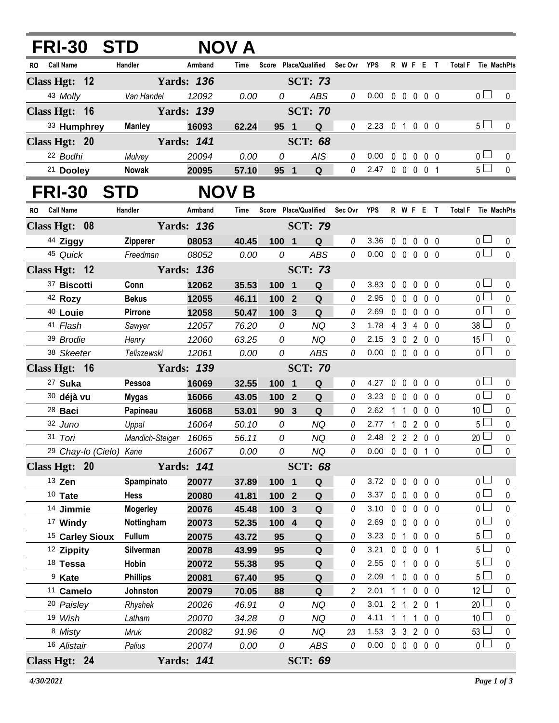| FRI-30 STD                         |                               |                   | <b>NOV A</b>   |                |              |                                   |              |                            |              |                   |                   |            |           |                     |                                   |                |
|------------------------------------|-------------------------------|-------------------|----------------|----------------|--------------|-----------------------------------|--------------|----------------------------|--------------|-------------------|-------------------|------------|-----------|---------------------|-----------------------------------|----------------|
| RO Call Name                       | Handler                       | Armband           | Time           |                |              | Score Place/Qualified Sec Ovr YPS |              |                            |              |                   |                   |            | R W F E T | Total F Tie MachPts |                                   |                |
| Class Hgt: 12                      |                               | <b>Yards: 136</b> |                |                |              | <b>SCT: 73</b>                    |              |                            |              |                   |                   |            |           |                     |                                   |                |
| 43 Molly                           | Van Handel                    | 12092             | 0.00           | 0              |              | ABS                               | $\theta$     | 0.00                       |              |                   | 00000             |            |           |                     | 0 <sub>0</sub>                    | 0              |
| Class Hgt: 16                      |                               | <b>Yards: 139</b> |                |                |              | <b>SCT: 70</b>                    |              |                            |              |                   |                   |            |           |                     |                                   |                |
| 33 Humphrey                        | <b>Manley</b>                 | 16093             | 62.24          | 95 1           |              | $\mathbf Q$                       | $\theta$     | 2.23 0 1 0 0 0             |              |                   |                   |            |           |                     | 5 <sub>1</sub>                    | $\mathbf 0$    |
| Class Hgt: 20                      |                               | <b>Yards: 141</b> |                |                |              | <b>SCT: 68</b>                    |              |                            |              |                   |                   |            |           |                     |                                   |                |
| 22 Bodhi                           | Mulvey                        | 20094             | 0.00           | 0              |              | <b>AIS</b>                        | $\theta$     | 0.00                       |              | $0\quad 0\quad 0$ |                   | $0\quad 0$ |           |                     | 0 <sub>0</sub>                    | 0              |
| 21 Dooley                          | <b>Nowak</b>                  | 20095             | 57.10          | 95 1           |              | $\mathbf Q$                       | $\mathcal O$ | 2.47 0 0 0 0 1             |              |                   |                   |            |           |                     | 5 <sub>0</sub>                    | $\pmb{0}$      |
| FRI-30 STD                         | <b>NOV B</b>                  |                   |                |                |              |                                   |              |                            |              |                   |                   |            |           |                     |                                   |                |
| RO Call Name                       | Handler                       | Armband           | Time           |                |              | Score Place/Qualified             | Sec Ovr YPS  |                            |              |                   | R W F E T         |            |           | Total F Tie MachPts |                                   |                |
| Class Hgt: 08                      |                               | <b>Yards: 136</b> |                |                |              | <b>SCT: 79</b>                    |              |                            |              |                   |                   |            |           |                     |                                   |                |
| 44 Ziggy                           | Zipperer                      | 08053             | 40.45          | 100 1          |              | Q                                 | 0            | 3.36                       |              |                   | 0 0 0 0 0         |            |           |                     | 0 <sub>1</sub>                    | 0              |
| 45 Quick                           | Freedman                      | 08052             | 0.00           | 0              |              | <b>ABS</b>                        | $\mathcal O$ | $0.00 \t0 \t0 \t0 \t0 \t0$ |              |                   |                   |            |           |                     | $\overline{0}$                    | $\mathbf{0}$   |
| Class Hgt: 12                      |                               |                   |                | <b>SCT: 73</b> |              |                                   |              |                            |              |                   |                   |            |           |                     |                                   |                |
| 37 Biscotti                        | Conn                          | 12062             | 35.53          | 100 1          |              | $\mathbf Q$                       | 0            | 3.83                       |              |                   | 00000             |            |           |                     | 0 <sub>0</sub>                    | 0              |
| 42 Rozy                            | <b>Bekus</b>                  | 12055             | 46.11          | 100 2          |              | Q                                 | 0            | 2.95                       |              |                   | 00000             |            |           |                     | $\overline{0}$                    | $\mathbf 0$    |
| 40 Louie                           | Pirrone                       | 12058             | 50.47          | 100 3          |              | Q                                 | 0            | 2.69                       |              |                   | 0 0 0 0 0         |            |           |                     | 0 <sub>0</sub>                    | $\pmb{0}$      |
| 41 Flash                           | Sawyer                        | 12057             | 76.20          | 0              |              | <b>NQ</b>                         | 3            | 1.78 4 3 4 0 0             |              |                   |                   |            |           |                     | 38 <sup>1</sup>                   | $\pmb{0}$      |
| 39 Brodie                          | Henry                         | 12060             | 63.25          | 0              |              | <b>NQ</b>                         | 0            | 2.15 3 0 2 0 0             |              |                   |                   |            |           |                     | $15\square$                       | $\pmb{0}$      |
| 38 Skeeter                         | Teliszewski                   | 12061             | 0.00           | 0              |              | <b>ABS</b>                        | $\theta$     | $0.00 \t0 \t0 \t0 \t0 \t0$ |              |                   |                   |            |           |                     | $\overline{0}$                    | $\mathbf 0$    |
| Class Hgt: 16<br><b>Yards: 139</b> |                               |                   |                |                |              | <b>SCT: 70</b>                    |              |                            |              |                   |                   |            |           |                     |                                   |                |
| <sup>27</sup> Suka                 | Pessoa                        | 16069             | 32.55          | $100$ 1        |              | Q                                 | 0            | 4.27                       |              |                   | 00000             |            |           |                     | 0 <sub>0</sub>                    | 0              |
| 30 déjà vu                         | <b>Mygas</b>                  | 16066             | 43.05          | 100 2          |              | Q                                 | 0            | 3.23 0 0 0 0 0             |              |                   |                   |            |           |                     | $\overline{0}$                    | $\mathbf 0$    |
| 28 Baci                            | Papineau                      | 16068             | 53.01          | 90             | $\mathbf{3}$ | $\mathbf Q$                       | 0            | 2.62                       | 1 1 0 0 0    |                   |                   |            |           |                     | 10 <sup>1</sup>                   | $\pmb{0}$      |
| 32 Juno                            | Uppal                         | 16064             | 50.10          | ${\cal O}$     |              | <b>NQ</b>                         | 0            | 2.77                       | 1 0 2 0 0    |                   |                   |            |           |                     | $5\Box$                           | $\pmb{0}$      |
| 31 Tori                            | Mandich-Steiger 16065         |                   | 56.11          | 0              |              | NQ                                | 0            | 2.48 2 2 2 0 0             |              |                   |                   |            |           |                     | 20 <sup>1</sup><br>$\overline{0}$ | $\mathbf 0$    |
| <sup>29</sup> Chay-lo (Cielo) Kane |                               | 16067             | 0.00           | 0              |              | NQ                                | 0            | 0.00 0 0 0 1 0             |              |                   |                   |            |           |                     |                                   | $\mathbf 0$    |
| Class Hgt: 20                      |                               | <b>Yards: 141</b> |                |                |              | <b>SCT: 68</b>                    |              |                            |              |                   |                   |            |           |                     |                                   |                |
| 13 Zen                             | Spampinato                    | 20077             | 37.89          | 100 1          |              | Q                                 | 0            | 3.72 0 0 0 0 0             |              |                   |                   |            |           |                     | 0 <sub>1</sub><br>0 <sub>l</sub>  | 0              |
| $10$ Tate<br>14 Jimmie             | <b>Hess</b>                   | 20080             | 41.81<br>45.48 | 100 2          |              | $\mathbf Q$                       | 0<br>0       | 3.37<br>3.10               |              | $0\quad 0\quad 0$ | 00000             | $0\quad 0$ |           |                     | 0 l                               | $\pmb{0}$<br>0 |
| <sup>17</sup> Windy                | <b>Mogerley</b><br>Nottingham | 20076<br>20073    | 52.35          | 100<br>100 4   | $\mathbf{3}$ | $\mathbf Q$<br>Q                  | 0            | 2.69                       |              |                   | 0 0 0 0 0         |            |           |                     | $0-$                              | 0              |
| <sup>15</sup> Carley Sioux         | <b>Fullum</b>                 | 20075             | 43.72          | 95             |              | Q                                 | 0            | 3.23                       |              | 0 <sub>1</sub>    | $0\quad 0\quad 0$ |            |           |                     | 5 <sup>1</sup>                    | 0              |
| <sup>12</sup> Zippity              | Silverman                     | 20078             | 43.99          | 95             |              | Q                                 | 0            | 3.21                       |              |                   | 0 0 0 0 1         |            |           |                     | 5 <sup>1</sup>                    | 0              |
| 18 Tessa                           | Hobin                         | 20072             | 55.38          | 95             |              | Q                                 | 0            | 2.55                       |              |                   | 0 1 0 0 0         |            |           |                     | 5 <sup>5</sup>                    | 0              |
| <sup>9</sup> Kate                  | <b>Phillips</b>               | 20081             | 67.40          | 95             |              | Q                                 | 0            | 2.09                       | $\mathbf{1}$ |                   | 0 0 0 0           |            |           |                     | 5 L                               | 0              |
| <sup>11</sup> Camelo               | Johnston                      | 20079             | 70.05          | 88             |              | Q                                 | 2            | 2.01                       |              | $1\quad1$         | $0\quad 0\quad 0$ |            |           |                     | 12                                | 0              |
| 20 Paisley                         | Rhyshek                       | 20026             | 46.91          | 0              |              | <b>NQ</b>                         | 0            | 3.01                       |              | 2 <sub>1</sub>    |                   | 201        |           |                     | 20 <sup>1</sup>                   | 0              |
| 19 Wish                            | Latham                        | 20070             | 34.28          | 0              |              | <b>NQ</b>                         | 0            | 4.11                       |              | $1\quad1$         | $\overline{1}$    | $0\quad 0$ |           |                     | 10 <sup>1</sup>                   | 0              |
| 8 Misty                            | Mruk                          | 20082             | 91.96          | 0              |              | NQ                                | 23           | 1.53                       | 3 3 2 0 0    |                   |                   |            |           |                     | 53 <sup>l</sup>                   | $\pmb{0}$      |
| 16 Alistair                        | Palius                        | 20074             | 0.00           | 0              |              | ABS                               | 0            | 0.00                       |              |                   | 0 0 0 0 0         |            |           |                     | 0 l                               | $\pmb{0}$      |
| Class Hgt: 24                      |                               | <b>Yards: 141</b> |                |                |              | <b>SCT: 69</b>                    |              |                            |              |                   |                   |            |           |                     |                                   |                |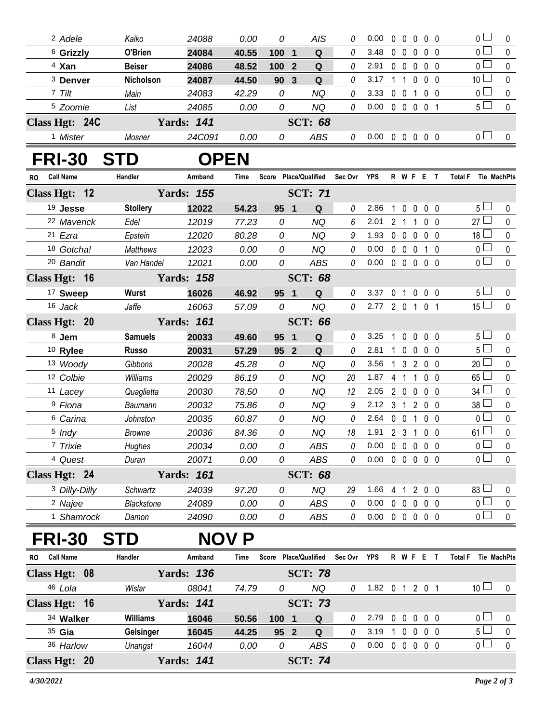| <sup>2</sup> Adele            | Kalko           | 24088             | 0.00         | 0       | AIS                          | 0           | 0.00                       | $\mathbf{0}$ | $\mathbf{0}$      | $\mathbf 0$              | $0\quad 0$     | 0 l                           | 0           |
|-------------------------------|-----------------|-------------------|--------------|---------|------------------------------|-------------|----------------------------|--------------|-------------------|--------------------------|----------------|-------------------------------|-------------|
| <sup>6</sup> Grizzly          | O'Brien         | 24084             | 40.55        | 100     | Q<br>$\overline{\mathbf{1}}$ | 0           | 3.48                       |              | $0\quad 0$        | $\mathbf{0}$             | 0 <sub>0</sub> | 0 <sup>1</sup>                | $\mathbf 0$ |
| <sup>4</sup> Xan              | <b>Beiser</b>   | 24086             | 48.52        | 100     | $\mathbf Q$<br>$\mathbf{2}$  | 0           | 2.91                       |              | $0\quad 0$        | $\mathbf 0$              | $0\quad 0$     | 0 <sub>0</sub>                | $\pmb{0}$   |
| <sup>3</sup> Denver           | Nicholson       | 24087             | 44.50        | 90      | $\overline{3}$<br>Q          | 0           | 3.17                       | $\mathbf 1$  | $\overline{1}$    | $\mathbf 0$              | 0 <sub>0</sub> | 10 <sup>1</sup>               | $\mathbf 0$ |
| 7 Tilt                        | Main            | 24083             | 42.29        | 0       | <b>NQ</b>                    | 0           | 3.33                       |              | $0 \t0 \t1$       |                          | $0\quad 0$     | 0 <sub>1</sub>                | $\pmb{0}$   |
| <sup>5</sup> Zoomie           | List            | 24085             | 0.00         | 0       | <b>NQ</b>                    | 0           | 0.00                       |              |                   | 0 0 0 0 1                |                | 5 <sup>1</sup>                | $\pmb{0}$   |
| Class Hgt: 24C                |                 | <b>Yards: 141</b> |              |         | <b>SCT: 68</b>               |             |                            |              |                   |                          |                |                               |             |
| <sup>1</sup> Mister           | Mosner          | 24C091            | 0.00         | 0       | <b>ABS</b>                   | 0           | $0.00 \t0 \t0 \t0 \t0 \t0$ |              |                   |                          |                | 0 <sub>l</sub>                | 0           |
| <b>FRI-30</b>                 | STD             |                   | <b>OPEN</b>  |         |                              |             |                            |              |                   |                          |                |                               |             |
| <b>Call Name</b><br><b>RO</b> | Handler         | Armband           | Time         |         | Score Place/Qualified        | Sec Ovr YPS |                            |              |                   | R W F E T                |                | <b>Total F</b><br>Tie MachPts |             |
| Class Hgt: 12                 |                 | <b>Yards: 155</b> |              |         | <b>SCT: 71</b>               |             |                            |              |                   |                          |                |                               |             |
| 19 Jesse                      | <b>Stollery</b> | 12022             | 54.23        | 95      | $\overline{\mathbf{1}}$<br>Q | $\theta$    | 2.86                       | 1            |                   | $0\quad 0\quad 0\quad 0$ |                | 5 <sub>1</sub>                | 0           |
| 22 Maverick                   | Edel            | 12019             | 77.23        | 0       | <b>NQ</b>                    | 6           | 2.01                       |              | 2 <sub>1</sub>    | $\mathbf 1$              | 0 <sub>0</sub> | 27                            | $\mathbf 0$ |
| 21 Ezra                       | Epstein         | 12020             | 80.28        | 0       | <b>NQ</b>                    | 9           | 1.93                       |              | $0\quad 0\quad 0$ |                          | $0\quad 0$     | $18 \Box$                     | $\pmb{0}$   |
| 18 Gotcha!                    | <b>Matthews</b> | 12023             | 0.00         | 0       | <b>NQ</b>                    | 0           | 0.00                       |              | $0\quad 0\quad 0$ |                          | 1 0            | 0 l                           | $\mathbf 0$ |
| <sup>20</sup> Bandit          | Van Handel      | 12021             | 0.00         | 0       | <b>ABS</b>                   | 0           | 0.00                       |              |                   | 00000                    |                | 0 <sup>1</sup>                | $\mathbf 0$ |
| Class Hgt: 16                 |                 | <b>Yards: 158</b> |              |         | <b>SCT: 68</b>               |             |                            |              |                   |                          |                |                               |             |
| <sup>17</sup> Sweep           | Wurst           | 16026             | 46.92        | 95      | Q<br>$\blacksquare$          | 0           | 3.37                       |              | 0 <sub>1</sub>    | $0\quad 0\quad 0$        |                | 5 <sup>1</sup>                | 0           |
| 16 Jack                       | Jaffe           | 16063             | 57.09        | 0       | <b>NQ</b>                    | $\theta$    | 2.77                       |              |                   | 2 0 1 0 1                |                | $15 \Box$                     | $\mathbf 0$ |
| Class Hgt: 20                 |                 | <b>Yards: 161</b> |              |         | <b>SCT: 66</b>               |             |                            |              |                   |                          |                |                               |             |
| 8 Jem                         | <b>Samuels</b>  | 20033             | 49.60        | 95      | Q<br>$\overline{\mathbf{1}}$ | 0           | 3.25                       | 1            |                   | $0\ 0\ 0\ 0$             |                | 5 <sup>1</sup>                | 0           |
| 10 Rylee                      | <b>Russo</b>    | 20031             | 57.29        | 95 2    | Q                            | 0           | 2.81                       | $\mathbf 1$  |                   | 0 0 0 0                  |                | 5 <sub>1</sub>                | $\pmb{0}$   |
| 13 Woody                      | Gibbons         | 20028             | 45.28        | 0       | <b>NQ</b>                    | 0           | 3.56                       |              |                   | 1 3 2 0 0                |                | 20                            | 0           |
| 12 Colbie                     | Williams        | 20029             | 86.19        | 0       | <b>NQ</b>                    | 20          | 1.87                       |              | 4 1               | $\mathbf{1}$             | $0\quad 0$     | 65                            | $\pmb{0}$   |
| 11 Lacey                      | Quaglietta      | 20030             | 78.50        | 0       | <b>NQ</b>                    | 12          | 2.05                       |              | $2\quad0$         | $\mathbf 0$              | $0\quad 0$     | 34                            | 0           |
| <sup>9</sup> Fiona            | Baumann         | 20032             | 75.86        | 0       | <b>NQ</b>                    | 9           | 2.12                       |              | $3 \quad 1$       | 200                      |                | 38 <sup>1</sup>               | $\pmb{0}$   |
| <sup>6</sup> Carina           | Johnston        | 20035             | 60.87        | 0       | <b>NQ</b>                    | 0           | 2.64                       |              | $0\quad 0$        | $\overline{1}$           | $0\quad 0$     | $\mathbf{0}$                  | 0           |
| 5 Indy                        | <b>Browne</b>   | 20036             | 84.36        | 0       | <b>NQ</b>                    | 18          | 1.91                       |              |                   | 2 3 1 0 0                |                | 61                            | $\pmb{0}$   |
| 7 Trixie                      | Hughes          | 20034             | 0.00         | 0       | ABS                          | 0           | 0.00                       |              |                   | 0 0 0 0 0                |                | $\overline{0}$                | 0           |
| 4 Quest                       | Duran           | 20071             | 0.00         | 0       | ABS                          | 0           | 0.00                       |              |                   | 0 0 0 0 0                |                | $\overline{0}$                | $\mathbf 0$ |
| Class Hgt: 24                 |                 | <b>Yards: 161</b> |              |         | <b>SCT: 68</b>               |             |                            |              |                   |                          |                |                               |             |
| <sup>3</sup> Dilly-Dilly      | Schwartz        | 24039             | 97.20        | 0       | NQ                           | 29          | 1.66                       |              |                   | 4 1 2 0 0                |                | $83 -$                        | 0           |
| <sup>2</sup> Najee            | Blackstone      | 24089             | 0.00         | 0       | <b>ABS</b>                   | 0           | 0.00                       |              |                   | 00000                    |                | 0 <sup>2</sup>                | $\pmb{0}$   |
| <sup>1</sup> Shamrock         | Damon           | 24090             | 0.00         | 0       | ABS                          | 0           | $0.00 \t0 \t0 \t0 \t0 \t0$ |              |                   |                          |                | $0 -$                         | $\pmb{0}$   |
| <b>FRI-30</b>                 | <b>STD</b>      |                   | <b>NOV P</b> |         |                              |             |                            |              |                   |                          |                |                               |             |
| <b>Call Name</b><br><b>RO</b> | Handler         | Armband           | Time         |         | Score Place/Qualified        | Sec Ovr     | YPS                        |              |                   | R W F E T                |                | <b>Total F</b><br>Tie MachPts |             |
| Class Hgt: 08                 |                 | <b>Yards: 136</b> |              |         | <b>SCT: 78</b>               |             |                            |              |                   |                          |                |                               |             |
| 46 Lola                       | Wislar          | 08041             | 74.79        | 0       | NQ                           | 0           | 1.82 0 1 2 0 1             |              |                   |                          |                | 10 <sup>1</sup>               | 0           |
| Class Hgt: 16                 |                 | <b>Yards: 141</b> |              |         | <b>SCT: 73</b>               |             |                            |              |                   |                          |                |                               |             |
| 34 Walker                     | <b>Williams</b> | 16046             | 50.56        | $100$ 1 | Q                            | 0           | 2.79                       |              |                   | 0 0 0 0 0                |                | 0 <sub>1</sub>                | 0           |
| 35 Gia                        | Gelsinger       | 16045             | 44.25        | 95 2    | Q                            | $\theta$    | 3.19                       |              | $1\quad0$         | $0\quad 0\quad 0$        |                | 5 L                           | $\pmb{0}$   |
| 36 Harlow                     | Unangst         | 16044             | 0.00         | 0       | <b>ABS</b>                   | 0           | 0.00                       |              |                   | 00000                    |                | $0-$                          | $\pmb{0}$   |
| Class Hgt: 20                 |                 | <b>Yards: 141</b> |              |         | <b>SCT: 74</b>               |             |                            |              |                   |                          |                |                               |             |